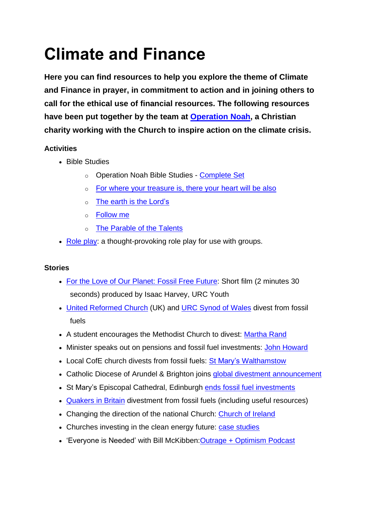# **Climate and Finance**

**Here you can find resources to help you explore the theme of Climate and Finance in prayer, in commitment to action and in joining others to call for the ethical use of financial resources. The following resources have been put together by the team at [Operation](https://operationnoah.org/) Noah, a Christian charity working with the Church to inspire action on the climate crisis.**

## **Activities**

- Bible Studies
	- o Operation Noah Bible Studies [Complete](https://brightnow.org.uk/?smd_process_download=1&download_id=1542) Set
	- o For where your [treasure](https://drive.google.com/file/d/1mCfMe2uUAZVkrBwX2CT23t51n-lTFRrN/view?usp=sharing) is, there your heart will be also
	- o The earth is the [Lord's](https://drive.google.com/file/d/1pm1EMn6iqu79D7k-q6UBzZdztVBT63vH/view?usp=sharing)
	- o [Follow](https://drive.google.com/file/d/1pRfHYmUCyzqyF8KFHLeQZKmrVVcWE5Qt/view?usp=sharing) me
	- o The [Parable](https://drive.google.com/file/d/1x9rFvic9XSkEUSrn4CJnLXDerXUsNmA9/view?usp=sharing) of the Talents
- [Role](https://brightnow.org.uk/?smd_process_download=1&download_id=1541) play: a thought-provoking role play for use with groups.

#### **Stories**

- For the Love of Our [Planet:](https://www.youtube.com/watch?v=PN9SwXlFSRM) Fossil Free Future: Short film (2 minutes 30 seconds) produced by Isaac Harvey, URC Youth
- United [Reformed](https://urc.org.uk/latest-news/3058-urc-votes-unanimously-to-divest-from-fossil-fuel-companies) Church (UK) and URC [Synod](https://brightnow.org.uk/news/united-reformed-church-wales-divests/) of Wales divest from fossil fuels
- A student encourages the Methodist Church to divest: [Martha](https://brightnow.org.uk/news/methodist-conference-supports-amended-motion-divestment/) Rand
- Minister speaks out on pensions and fossil fuel investments: John [Howard](https://brightnow.org.uk/news/methodist-council-to-debate-fossil-fuel-investments/)
- Local CofE church divests from fossil fuels: St Mary's [Walthamstow](https://brightnow.org.uk/news/faith-institutions-launch-new-wave-of-divestment/)
- Catholic Diocese of Arundel & Brighton joins global divestment [announcement](https://www.cbcew.org.uk/catholic-organisations-among-faith-groups-calling-for-a-just-recovery-by-divesting-from-fossil-fuels/)
- St Mary's Episcopal Cathedral, Edinburgh ends fossil fuel [investments](https://brightnow.org.uk/news/faith-institutions-announce-divestment-fossil-fuels/)
- [Quakers](https://www.quaker.org.uk/our-work/sustainability/fossil-fuel-divestment) in Britain divestment from fossil fuels (including useful resources)
- Changing the direction of the national Church: [Church](http://brightnow.org.uk/news/church-of-ireland-votes-to-divest-from-fossil-fuels/) of Ireland
- Churches investing in the clean energy future: case [studies](https://brightnow.org.uk/news/churches-investing-in-the-clean-energy-future-case-studies/)
- 'Everyone is Needed' with Bill McKibben: Outrage + [Optimism](https://podcasts.apple.com/gb/podcast/5-everyone-is-needed-with-bill-mckibben/id1459416461?i=1000439231348) Podcast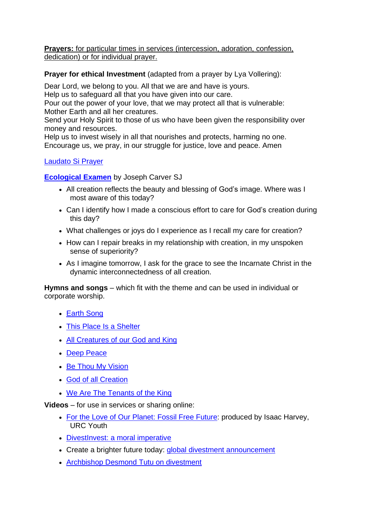**Prayers:** for particular times in services (intercession, adoration, confession, dedication) or for individual prayer.

**Prayer for ethical Investment** (adapted from a prayer by Lya Vollering):

Dear Lord, we belong to you. All that we are and have is yours.

Help us to safeguard all that you have given into our care.

Pour out the power of your love, that we may protect all that is vulnerable: Mother Earth and all her creatures.

Send your Holy Spirit to those of us who have been given the responsibility over money and resources.

Help us to invest wisely in all that nourishes and protects, harming no one. Encourage us, we pray, in our struggle for justice, love and peace. Amen

#### [Laudato](https://www.laudatosi.org/pope-francis/a-prayer-for-the-earth/) Si Prayer

**[Ecological](https://www.pathwaystogod.org/my-prayer-life/examen/ecological-examen) Examen** by Joseph Carver SJ

- All creation reflects the beauty and blessing of God's image. Where was I most aware of this today?
- Can I identify how I made a conscious effort to care for God's creation during this day?
- What challenges or joys do I experience as I recall my care for creation?
- How can I repair breaks in my relationship with creation, in my unspoken sense of superiority?
- As I imagine tomorrow, I ask for the grace to see the Incarnate Christ in the dynamic interconnectedness of all creation.

**Hymns and songs** – which fit with the theme and can be used in individual or corporate worship.

- [Earth](https://www.youtube.com/watch?v=5KtH9PLc7NI) Song
- This Place Is a [Shelter](https://www.youtube.com/watch?v=Z4p_s88-4ZI)
- All [Creatures](https://www.youtube.com/watch?v=E5wDbgHP4-A) of our God and King
- Deep [Peace](https://www.youtube.com/watch?v=_1OAZR4Avs0)
- Be Thou My [Vision](https://www.youtube.com/watch?v=p9dLsd3-4QU)
- God of all [Creation](https://www.youtube.com/watch?v=1RgM3SA1xgE)
- We Are The [Tenants](https://www.youtube.com/watch?v=IKoeCe57_j4) of the King

**Videos** – for use in services or sharing online:

- For the Love of Our [Planet:](https://www.youtube.com/watch?v=PN9SwXlFSRM) Fossil Free Future: produced by Isaac Harvey, URC Youth
- [DivestInvest:](https://www.youtube.com/watch?v=Az8sgRVgc6c) a moral imperative
- Create a brighter future today: **global divestment [announcement](https://youtu.be/12OVuRikGGA)**
- [Archbishop](http://www.youtube.com/watch?v=SR-xBzs09D8) Desmond Tutu on divestment